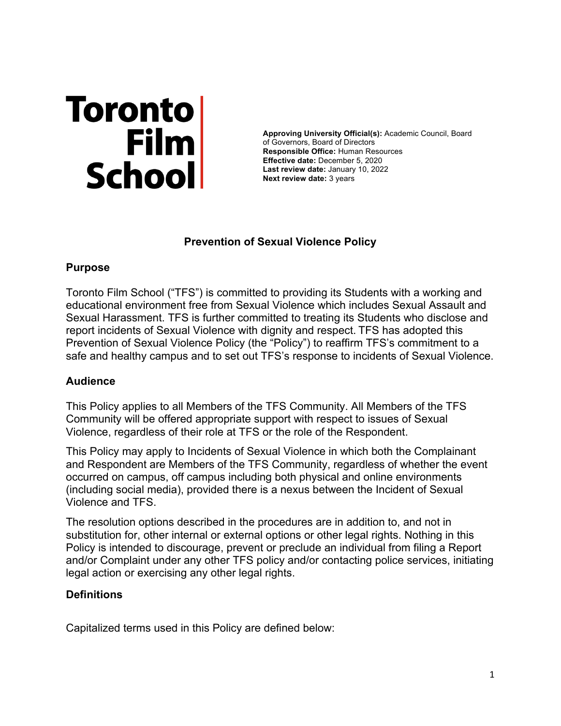# Toronto<br>Film<br>School

**Approving University Official(s):** Academic Council, Board of Governors, Board of Directors **Responsible Office:** Human Resources **Effective date:** December 5, 2020 **Last review date:** January 10, 2022 **Next review date:** 3 years

# **Prevention of Sexual Violence Policy**

# **Purpose**

Toronto Film School ("TFS") is committed to providing its Students with a working and educational environment free from Sexual Violence which includes Sexual Assault and Sexual Harassment. TFS is further committed to treating its Students who disclose and report incidents of Sexual Violence with dignity and respect. TFS has adopted this Prevention of Sexual Violence Policy (the "Policy") to reaffirm TFS's commitment to a safe and healthy campus and to set out TFS's response to incidents of Sexual Violence.

# **Audience**

This Policy applies to all Members of the TFS Community. All Members of the TFS Community will be offered appropriate support with respect to issues of Sexual Violence, regardless of their role at TFS or the role of the Respondent.

This Policy may apply to Incidents of Sexual Violence in which both the Complainant and Respondent are Members of the TFS Community, regardless of whether the event occurred on campus, off campus including both physical and online environments (including social media), provided there is a nexus between the Incident of Sexual Violence and TFS.

The resolution options described in the procedures are in addition to, and not in substitution for, other internal or external options or other legal rights. Nothing in this Policy is intended to discourage, prevent or preclude an individual from filing a Report and/or Complaint under any other TFS policy and/or contacting police services, initiating legal action or exercising any other legal rights.

# **Definitions**

Capitalized terms used in this Policy are defined below: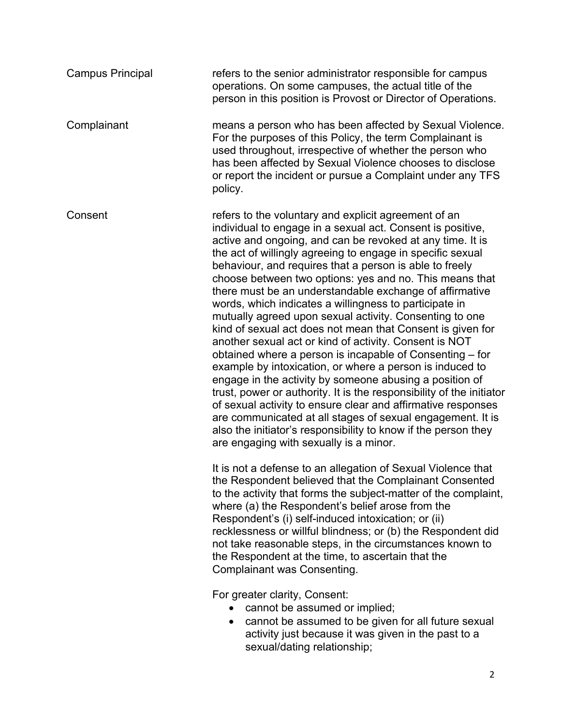| <b>Campus Principal</b> | refers to the senior administrator responsible for campus<br>operations. On some campuses, the actual title of the<br>person in this position is Provost or Director of Operations.                                                                                                                                                                                                                                                                                                                                                                                                                                                                                                                                                                                                                                                                                                                                                                                                                                                                                                                                                                                              |
|-------------------------|----------------------------------------------------------------------------------------------------------------------------------------------------------------------------------------------------------------------------------------------------------------------------------------------------------------------------------------------------------------------------------------------------------------------------------------------------------------------------------------------------------------------------------------------------------------------------------------------------------------------------------------------------------------------------------------------------------------------------------------------------------------------------------------------------------------------------------------------------------------------------------------------------------------------------------------------------------------------------------------------------------------------------------------------------------------------------------------------------------------------------------------------------------------------------------|
| Complainant             | means a person who has been affected by Sexual Violence.<br>For the purposes of this Policy, the term Complainant is<br>used throughout, irrespective of whether the person who<br>has been affected by Sexual Violence chooses to disclose<br>or report the incident or pursue a Complaint under any TFS<br>policy.                                                                                                                                                                                                                                                                                                                                                                                                                                                                                                                                                                                                                                                                                                                                                                                                                                                             |
| Consent                 | refers to the voluntary and explicit agreement of an<br>individual to engage in a sexual act. Consent is positive,<br>active and ongoing, and can be revoked at any time. It is<br>the act of willingly agreeing to engage in specific sexual<br>behaviour, and requires that a person is able to freely<br>choose between two options: yes and no. This means that<br>there must be an understandable exchange of affirmative<br>words, which indicates a willingness to participate in<br>mutually agreed upon sexual activity. Consenting to one<br>kind of sexual act does not mean that Consent is given for<br>another sexual act or kind of activity. Consent is NOT<br>obtained where a person is incapable of Consenting – for<br>example by intoxication, or where a person is induced to<br>engage in the activity by someone abusing a position of<br>trust, power or authority. It is the responsibility of the initiator<br>of sexual activity to ensure clear and affirmative responses<br>are communicated at all stages of sexual engagement. It is<br>also the initiator's responsibility to know if the person they<br>are engaging with sexually is a minor. |
|                         | It is not a defense to an allegation of Sexual Violence that<br>the Respondent believed that the Complainant Consented<br>to the activity that forms the subject-matter of the complaint,<br>where (a) the Respondent's belief arose from the<br>Respondent's (i) self-induced intoxication; or (ii)<br>recklessness or willful blindness; or (b) the Respondent did<br>not take reasonable steps, in the circumstances known to<br>the Respondent at the time, to ascertain that the<br>Complainant was Consenting.                                                                                                                                                                                                                                                                                                                                                                                                                                                                                                                                                                                                                                                             |
|                         | For greater clarity, Consent:<br>cannot be assumed or implied;<br>cannot be assumed to be given for all future sexual<br>$\bullet$<br>activity just because it was given in the past to a<br>sexual/dating relationship;                                                                                                                                                                                                                                                                                                                                                                                                                                                                                                                                                                                                                                                                                                                                                                                                                                                                                                                                                         |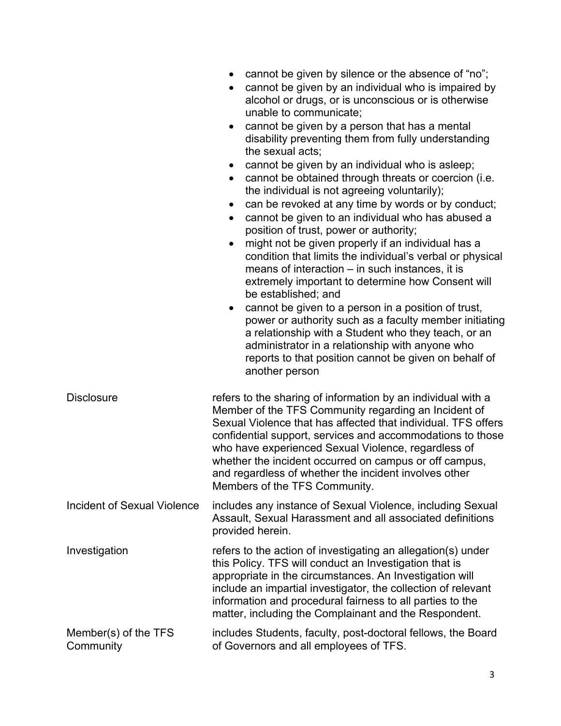|                                    | cannot be given by silence or the absence of "no";<br>cannot be given by an individual who is impaired by<br>٠<br>alcohol or drugs, or is unconscious or is otherwise<br>unable to communicate;<br>cannot be given by a person that has a mental<br>٠<br>disability preventing them from fully understanding<br>the sexual acts;<br>cannot be given by an individual who is asleep;<br>$\bullet$<br>cannot be obtained through threats or coercion (i.e.<br>$\bullet$<br>the individual is not agreeing voluntarily);<br>can be revoked at any time by words or by conduct;<br>$\bullet$<br>cannot be given to an individual who has abused a<br>$\bullet$<br>position of trust, power or authority;<br>might not be given properly if an individual has a<br>$\bullet$<br>condition that limits the individual's verbal or physical<br>means of interaction - in such instances, it is<br>extremely important to determine how Consent will<br>be established; and<br>cannot be given to a person in a position of trust,<br>$\bullet$<br>power or authority such as a faculty member initiating<br>a relationship with a Student who they teach, or an<br>administrator in a relationship with anyone who<br>reports to that position cannot be given on behalf of<br>another person |
|------------------------------------|----------------------------------------------------------------------------------------------------------------------------------------------------------------------------------------------------------------------------------------------------------------------------------------------------------------------------------------------------------------------------------------------------------------------------------------------------------------------------------------------------------------------------------------------------------------------------------------------------------------------------------------------------------------------------------------------------------------------------------------------------------------------------------------------------------------------------------------------------------------------------------------------------------------------------------------------------------------------------------------------------------------------------------------------------------------------------------------------------------------------------------------------------------------------------------------------------------------------------------------------------------------------------------------|
| <b>Disclosure</b>                  | refers to the sharing of information by an individual with a<br>Member of the TFS Community regarding an Incident of<br>Sexual Violence that has affected that individual. TFS offers<br>confidential support, services and accommodations to those<br>who have experienced Sexual Violence, regardless of<br>whether the incident occurred on campus or off campus,<br>and regardless of whether the incident involves other<br>Members of the TFS Community.                                                                                                                                                                                                                                                                                                                                                                                                                                                                                                                                                                                                                                                                                                                                                                                                                         |
| <b>Incident of Sexual Violence</b> | includes any instance of Sexual Violence, including Sexual<br>Assault, Sexual Harassment and all associated definitions<br>provided herein.                                                                                                                                                                                                                                                                                                                                                                                                                                                                                                                                                                                                                                                                                                                                                                                                                                                                                                                                                                                                                                                                                                                                            |
| Investigation                      | refers to the action of investigating an allegation(s) under<br>this Policy. TFS will conduct an Investigation that is<br>appropriate in the circumstances. An Investigation will<br>include an impartial investigator, the collection of relevant<br>information and procedural fairness to all parties to the<br>matter, including the Complainant and the Respondent.                                                                                                                                                                                                                                                                                                                                                                                                                                                                                                                                                                                                                                                                                                                                                                                                                                                                                                               |
| Member(s) of the TFS<br>Community  | includes Students, faculty, post-doctoral fellows, the Board<br>of Governors and all employees of TFS.                                                                                                                                                                                                                                                                                                                                                                                                                                                                                                                                                                                                                                                                                                                                                                                                                                                                                                                                                                                                                                                                                                                                                                                 |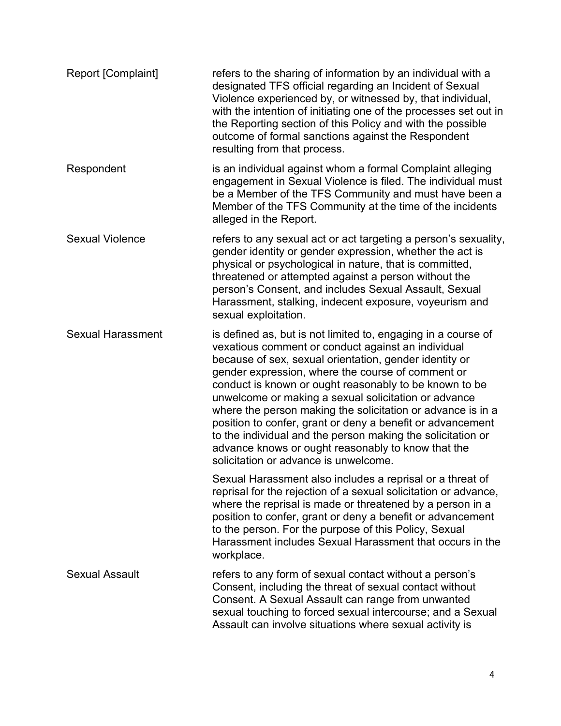| Report [Complaint]       | refers to the sharing of information by an individual with a<br>designated TFS official regarding an Incident of Sexual<br>Violence experienced by, or witnessed by, that individual,<br>with the intention of initiating one of the processes set out in<br>the Reporting section of this Policy and with the possible<br>outcome of formal sanctions against the Respondent<br>resulting from that process.                                                                                                                                                                                                                                   |
|--------------------------|-------------------------------------------------------------------------------------------------------------------------------------------------------------------------------------------------------------------------------------------------------------------------------------------------------------------------------------------------------------------------------------------------------------------------------------------------------------------------------------------------------------------------------------------------------------------------------------------------------------------------------------------------|
| Respondent               | is an individual against whom a formal Complaint alleging<br>engagement in Sexual Violence is filed. The individual must<br>be a Member of the TFS Community and must have been a<br>Member of the TFS Community at the time of the incidents<br>alleged in the Report.                                                                                                                                                                                                                                                                                                                                                                         |
| <b>Sexual Violence</b>   | refers to any sexual act or act targeting a person's sexuality,<br>gender identity or gender expression, whether the act is<br>physical or psychological in nature, that is committed,<br>threatened or attempted against a person without the<br>person's Consent, and includes Sexual Assault, Sexual<br>Harassment, stalking, indecent exposure, voyeurism and<br>sexual exploitation.                                                                                                                                                                                                                                                       |
| <b>Sexual Harassment</b> | is defined as, but is not limited to, engaging in a course of<br>vexatious comment or conduct against an individual<br>because of sex, sexual orientation, gender identity or<br>gender expression, where the course of comment or<br>conduct is known or ought reasonably to be known to be<br>unwelcome or making a sexual solicitation or advance<br>where the person making the solicitation or advance is in a<br>position to confer, grant or deny a benefit or advancement<br>to the individual and the person making the solicitation or<br>advance knows or ought reasonably to know that the<br>solicitation or advance is unwelcome. |
|                          | Sexual Harassment also includes a reprisal or a threat of<br>reprisal for the rejection of a sexual solicitation or advance,<br>where the reprisal is made or threatened by a person in a<br>position to confer, grant or deny a benefit or advancement<br>to the person. For the purpose of this Policy, Sexual<br>Harassment includes Sexual Harassment that occurs in the<br>workplace.                                                                                                                                                                                                                                                      |
| <b>Sexual Assault</b>    | refers to any form of sexual contact without a person's<br>Consent, including the threat of sexual contact without<br>Consent. A Sexual Assault can range from unwanted<br>sexual touching to forced sexual intercourse; and a Sexual<br>Assault can involve situations where sexual activity is                                                                                                                                                                                                                                                                                                                                                |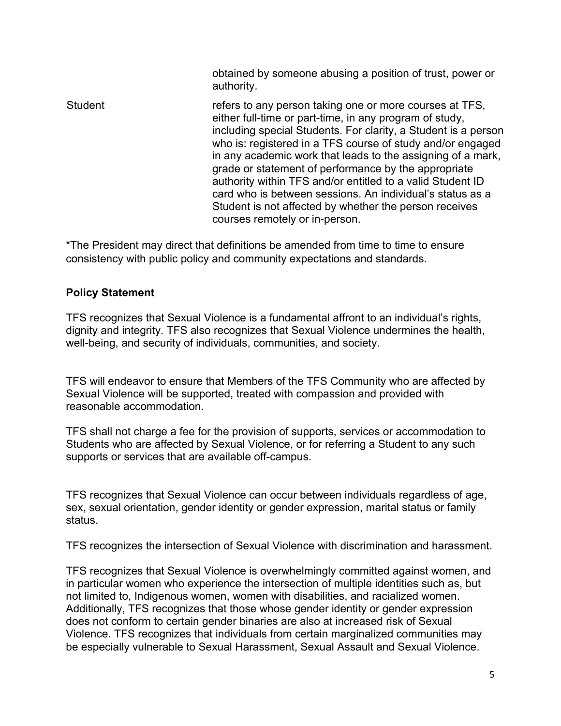obtained by someone abusing a position of trust, power or authority.

Student refers to any person taking one or more courses at TFS, either full-time or part-time, in any program of study, including special Students. For clarity, a Student is a person who is: registered in a TFS course of study and/or engaged in any academic work that leads to the assigning of a mark, grade or statement of performance by the appropriate authority within TFS and/or entitled to a valid Student ID card who is between sessions. An individual's status as a Student is not affected by whether the person receives courses remotely or in-person.

\*The President may direct that definitions be amended from time to time to ensure consistency with public policy and community expectations and standards.

#### **Policy Statement**

TFS recognizes that Sexual Violence is a fundamental affront to an individual's rights, dignity and integrity. TFS also recognizes that Sexual Violence undermines the health, well-being, and security of individuals, communities, and society.

TFS will endeavor to ensure that Members of the TFS Community who are affected by Sexual Violence will be supported, treated with compassion and provided with reasonable accommodation.

TFS shall not charge a fee for the provision of supports, services or accommodation to Students who are affected by Sexual Violence, or for referring a Student to any such supports or services that are available off-campus.

TFS recognizes that Sexual Violence can occur between individuals regardless of age, sex, sexual orientation, gender identity or gender expression, marital status or family status.

TFS recognizes the intersection of Sexual Violence with discrimination and harassment.

TFS recognizes that Sexual Violence is overwhelmingly committed against women, and in particular women who experience the intersection of multiple identities such as, but not limited to, Indigenous women, women with disabilities, and racialized women. Additionally, TFS recognizes that those whose gender identity or gender expression does not conform to certain gender binaries are also at increased risk of Sexual Violence. TFS recognizes that individuals from certain marginalized communities may be especially vulnerable to Sexual Harassment, Sexual Assault and Sexual Violence.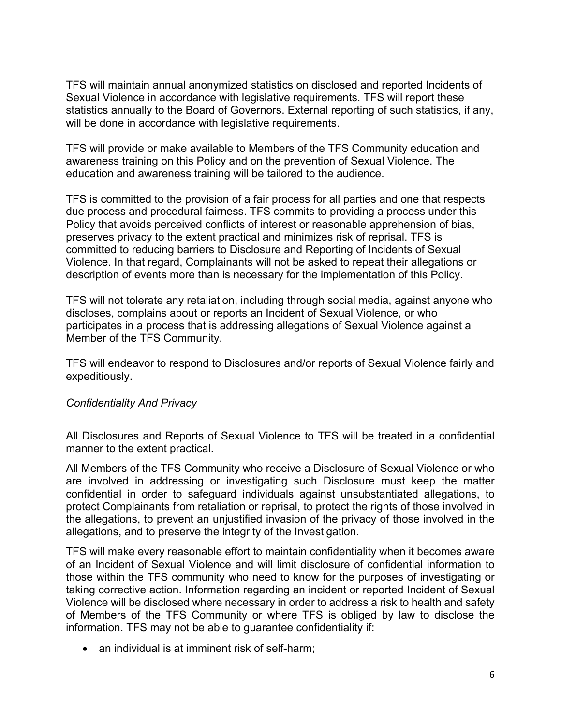TFS will maintain annual anonymized statistics on disclosed and reported Incidents of Sexual Violence in accordance with legislative requirements. TFS will report these statistics annually to the Board of Governors. External reporting of such statistics, if any, will be done in accordance with legislative requirements.

TFS will provide or make available to Members of the TFS Community education and awareness training on this Policy and on the prevention of Sexual Violence. The education and awareness training will be tailored to the audience.

TFS is committed to the provision of a fair process for all parties and one that respects due process and procedural fairness. TFS commits to providing a process under this Policy that avoids perceived conflicts of interest or reasonable apprehension of bias, preserves privacy to the extent practical and minimizes risk of reprisal. TFS is committed to reducing barriers to Disclosure and Reporting of Incidents of Sexual Violence. In that regard, Complainants will not be asked to repeat their allegations or description of events more than is necessary for the implementation of this Policy.

TFS will not tolerate any retaliation, including through social media, against anyone who discloses, complains about or reports an Incident of Sexual Violence, or who participates in a process that is addressing allegations of Sexual Violence against a Member of the TFS Community.

TFS will endeavor to respond to Disclosures and/or reports of Sexual Violence fairly and expeditiously.

#### *Confidentiality And Privacy*

All Disclosures and Reports of Sexual Violence to TFS will be treated in a confidential manner to the extent practical.

All Members of the TFS Community who receive a Disclosure of Sexual Violence or who are involved in addressing or investigating such Disclosure must keep the matter confidential in order to safeguard individuals against unsubstantiated allegations, to protect Complainants from retaliation or reprisal, to protect the rights of those involved in the allegations, to prevent an unjustified invasion of the privacy of those involved in the allegations, and to preserve the integrity of the Investigation.

TFS will make every reasonable effort to maintain confidentiality when it becomes aware of an Incident of Sexual Violence and will limit disclosure of confidential information to those within the TFS community who need to know for the purposes of investigating or taking corrective action. Information regarding an incident or reported Incident of Sexual Violence will be disclosed where necessary in order to address a risk to health and safety of Members of the TFS Community or where TFS is obliged by law to disclose the information. TFS may not be able to guarantee confidentiality if:

• an individual is at imminent risk of self-harm: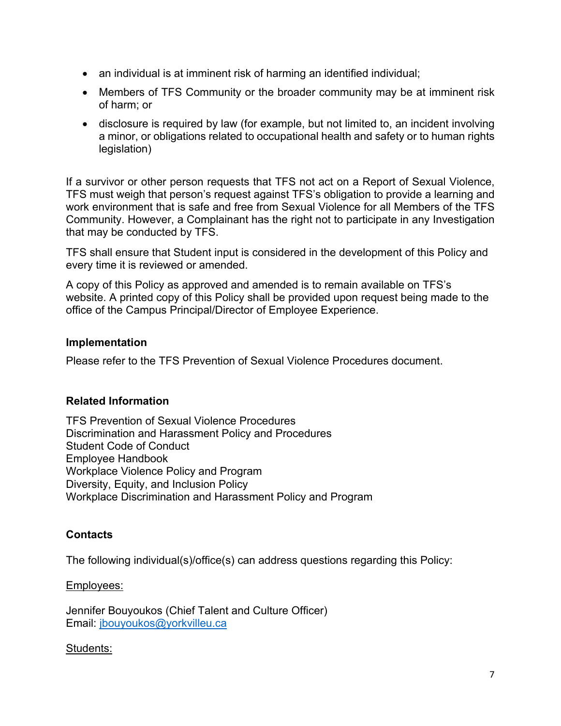- an individual is at imminent risk of harming an identified individual;
- Members of TFS Community or the broader community may be at imminent risk of harm; or
- disclosure is required by law (for example, but not limited to, an incident involving a minor, or obligations related to occupational health and safety or to human rights legislation)

If a survivor or other person requests that TFS not act on a Report of Sexual Violence, TFS must weigh that person's request against TFS's obligation to provide a learning and work environment that is safe and free from Sexual Violence for all Members of the TFS Community. However, a Complainant has the right not to participate in any Investigation that may be conducted by TFS.

TFS shall ensure that Student input is considered in the development of this Policy and every time it is reviewed or amended.

A copy of this Policy as approved and amended is to remain available on TFS's website. A printed copy of this Policy shall be provided upon request being made to the office of the Campus Principal/Director of Employee Experience.

#### **Implementation**

Please refer to the TFS Prevention of Sexual Violence Procedures document.

#### **Related Information**

TFS Prevention of Sexual Violence Procedures Discrimination and Harassment Policy and Procedures Student Code of Conduct Employee Handbook Workplace Violence Policy and Program Diversity, Equity, and Inclusion Policy Workplace Discrimination and Harassment Policy and Program

# **Contacts**

The following individual(s)/office(s) can address questions regarding this Policy:

#### Employees:

Jennifer Bouyoukos (Chief Talent and Culture Officer) Email: jbouyoukos@yorkvilleu.ca

#### Students: